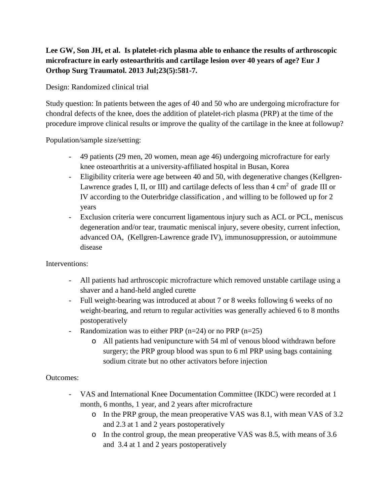## **Lee GW, Son JH, et al. Is platelet-rich plasma able to enhance the results of arthroscopic microfracture in early osteoarthritis and cartilage lesion over 40 years of age? Eur J Orthop Surg Traumatol. 2013 Jul;23(5):581-7.**

Design: Randomized clinical trial

Study question: In patients between the ages of 40 and 50 who are undergoing microfracture for chondral defects of the knee, does the addition of platelet-rich plasma (PRP) at the time of the procedure improve clinical results or improve the quality of the cartilage in the knee at followup?

Population/sample size/setting:

- 49 patients (29 men, 20 women, mean age 46) undergoing microfracture for early knee osteoarthritis at a university-affiliated hospital in Busan, Korea
- Eligibility criteria were age between 40 and 50, with degenerative changes (Kellgren-Lawrence grades I, II, or III) and cartilage defects of less than  $4 \text{ cm}^2$  of grade III or IV according to the Outerbridge classification , and willing to be followed up for 2 years
- Exclusion criteria were concurrent ligamentous injury such as ACL or PCL, meniscus degeneration and/or tear, traumatic meniscal injury, severe obesity, current infection, advanced OA, (Kellgren-Lawrence grade IV), immunosuppression, or autoimmune disease

Interventions:

- All patients had arthroscopic microfracture which removed unstable cartilage using a shaver and a hand-held angled curette
- Full weight-bearing was introduced at about 7 or 8 weeks following 6 weeks of no weight-bearing, and return to regular activities was generally achieved 6 to 8 months postoperatively
- Randomization was to either PRP  $(n=24)$  or no PRP  $(n=25)$ 
	- o All patients had venipuncture with 54 ml of venous blood withdrawn before surgery; the PRP group blood was spun to 6 ml PRP using bags containing sodium citrate but no other activators before injection

## Outcomes:

- VAS and International Knee Documentation Committee (IKDC) were recorded at 1 month, 6 months, 1 year, and 2 years after microfracture
	- o In the PRP group, the mean preoperative VAS was 8.1, with mean VAS of 3.2 and 2.3 at 1 and 2 years postoperatively
	- o In the control group, the mean preoperative VAS was 8.5, with means of 3.6 and 3.4 at 1 and 2 years postoperatively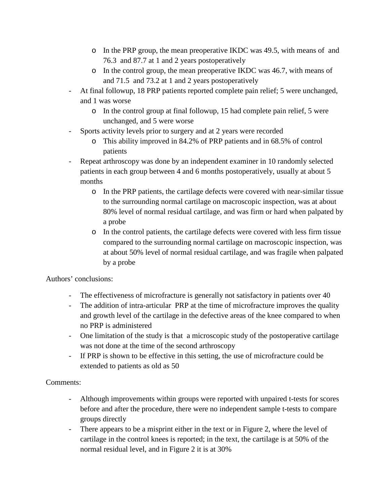- o In the PRP group, the mean preoperative IKDC was 49.5, with means of and 76.3 and 87.7 at 1 and 2 years postoperatively
- o In the control group, the mean preoperative IKDC was 46.7, with means of and 71.5 and 73.2 at 1 and 2 years postoperatively
- At final followup, 18 PRP patients reported complete pain relief; 5 were unchanged, and 1 was worse
	- o In the control group at final followup, 15 had complete pain relief, 5 were unchanged, and 5 were worse
- Sports activity levels prior to surgery and at 2 years were recorded
	- o This ability improved in 84.2% of PRP patients and in 68.5% of control patients
- Repeat arthroscopy was done by an independent examiner in 10 randomly selected patients in each group between 4 and 6 months postoperatively, usually at about 5 months
	- o In the PRP patients, the cartilage defects were covered with near-similar tissue to the surrounding normal cartilage on macroscopic inspection, was at about 80% level of normal residual cartilage, and was firm or hard when palpated by a probe
	- o In the control patients, the cartilage defects were covered with less firm tissue compared to the surrounding normal cartilage on macroscopic inspection, was at about 50% level of normal residual cartilage, and was fragile when palpated by a probe

## Authors' conclusions:

- The effectiveness of microfracture is generally not satisfactory in patients over 40
- The addition of intra-articular PRP at the time of microfracture improves the quality and growth level of the cartilage in the defective areas of the knee compared to when no PRP is administered
- One limitation of the study is that a microscopic study of the postoperative cartilage was not done at the time of the second arthroscopy
- If PRP is shown to be effective in this setting, the use of microfracture could be extended to patients as old as 50

## Comments:

- Although improvements within groups were reported with unpaired t-tests for scores before and after the procedure, there were no independent sample t-tests to compare groups directly
- There appears to be a misprint either in the text or in Figure 2, where the level of cartilage in the control knees is reported; in the text, the cartilage is at 50% of the normal residual level, and in Figure 2 it is at 30%